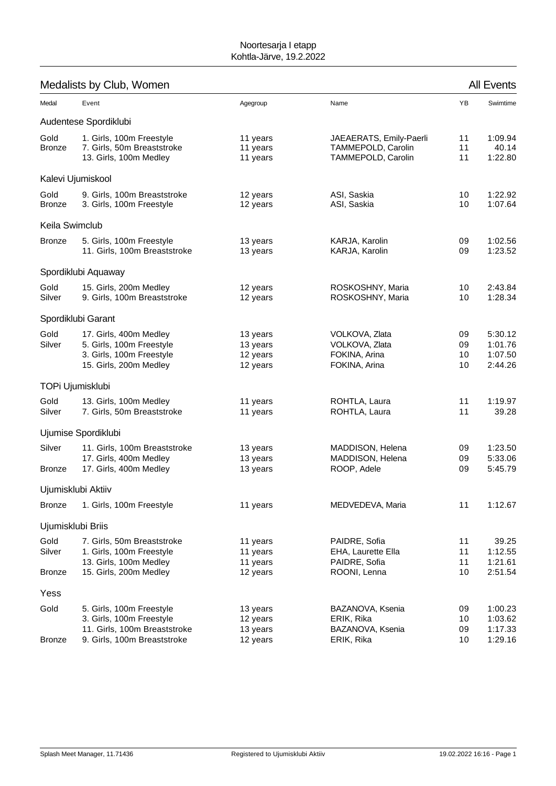## Noortesarja I etapp Kohtla-Järve, 19.2.2022

|                                 | Medalists by Club, Women                                                                                            |                                              |                                                                      |                      | <b>All Events</b>                        |  |  |  |
|---------------------------------|---------------------------------------------------------------------------------------------------------------------|----------------------------------------------|----------------------------------------------------------------------|----------------------|------------------------------------------|--|--|--|
| Medal                           | Event                                                                                                               | Agegroup                                     | Name                                                                 | YB                   | Swimtime                                 |  |  |  |
|                                 | Audentese Spordiklubi                                                                                               |                                              |                                                                      |                      |                                          |  |  |  |
| Gold<br><b>Bronze</b>           | 1. Girls, 100m Freestyle<br>7. Girls, 50m Breaststroke<br>13. Girls, 100m Medley                                    | 11 years<br>11 years<br>11 years             | JAEAERATS, Emily-Paerli<br>TAMMEPOLD, Carolin<br>TAMMEPOLD, Carolin  | 11<br>11<br>11       | 1:09.94<br>40.14<br>1:22.80              |  |  |  |
|                                 | Kalevi Ujumiskool                                                                                                   |                                              |                                                                      |                      |                                          |  |  |  |
| Gold<br><b>Bronze</b>           | 9. Girls, 100m Breaststroke<br>3. Girls, 100m Freestyle                                                             | 12 years<br>12 years                         | ASI, Saskia<br>ASI, Saskia                                           | 10<br>10             | 1:22.92<br>1:07.64                       |  |  |  |
| Keila Swimclub                  |                                                                                                                     |                                              |                                                                      |                      |                                          |  |  |  |
| <b>Bronze</b>                   | 5. Girls, 100m Freestyle<br>11. Girls, 100m Breaststroke                                                            | 13 years<br>13 years                         | KARJA, Karolin<br>KARJA, Karolin                                     | 09<br>09             | 1:02.56<br>1:23.52                       |  |  |  |
|                                 | Spordiklubi Aquaway                                                                                                 |                                              |                                                                      |                      |                                          |  |  |  |
| Gold<br>Silver                  | 15. Girls, 200m Medley<br>9. Girls, 100m Breaststroke                                                               | 12 years<br>12 years                         | ROSKOSHNY, Maria<br>ROSKOSHNY, Maria                                 | 10<br>10             | 2:43.84<br>1:28.34                       |  |  |  |
|                                 | Spordiklubi Garant                                                                                                  |                                              |                                                                      |                      |                                          |  |  |  |
| Gold<br>Silver                  | 17. Girls, 400m Medley<br>5. Girls, 100m Freestyle<br>3. Girls, 100m Freestyle<br>15. Girls, 200m Medley            | 13 years<br>13 years<br>12 years<br>12 years | VOLKOVA, Zlata<br>VOLKOVA, Zlata<br>FOKINA, Arina<br>FOKINA, Arina   | 09<br>09<br>10<br>10 | 5:30.12<br>1:01.76<br>1:07.50<br>2:44.26 |  |  |  |
|                                 | TOPi Ujumisklubi                                                                                                    |                                              |                                                                      |                      |                                          |  |  |  |
| Gold<br>Silver                  | 13. Girls, 100m Medley<br>7. Girls, 50m Breaststroke                                                                | 11 years<br>11 years                         | ROHTLA, Laura<br>ROHTLA, Laura                                       | 11<br>11             | 1:19.97<br>39.28                         |  |  |  |
|                                 | Ujumise Spordiklubi                                                                                                 |                                              |                                                                      |                      |                                          |  |  |  |
| Silver<br><b>Bronze</b>         | 11. Girls, 100m Breaststroke<br>17. Girls, 400m Medley<br>17. Girls, 400m Medley                                    | 13 years<br>13 years<br>13 years             | MADDISON, Helena<br>MADDISON, Helena<br>ROOP, Adele                  | 09<br>09<br>09       | 1:23.50<br>5:33.06<br>5:45.79            |  |  |  |
|                                 | Ujumisklubi Aktiiv                                                                                                  |                                              |                                                                      |                      |                                          |  |  |  |
| <b>Bronze</b>                   | 1. Girls, 100m Freestyle                                                                                            | 11 years                                     | MEDVEDEVA, Maria                                                     | 11                   | 1:12.67                                  |  |  |  |
| Ujumisklubi Briis               |                                                                                                                     |                                              |                                                                      |                      |                                          |  |  |  |
| Gold<br>Silver<br><b>Bronze</b> | 7. Girls, 50m Breaststroke<br>1. Girls, 100m Freestyle<br>13. Girls, 100m Medley<br>15. Girls, 200m Medley          | 11 years<br>11 years<br>11 years<br>12 years | PAIDRE, Sofia<br>EHA, Laurette Ella<br>PAIDRE, Sofia<br>ROONI, Lenna | 11<br>11<br>11<br>10 | 39.25<br>1:12.55<br>1:21.61<br>2:51.54   |  |  |  |
| Yess                            |                                                                                                                     |                                              |                                                                      |                      |                                          |  |  |  |
| Gold<br><b>Bronze</b>           | 5. Girls, 100m Freestyle<br>3. Girls, 100m Freestyle<br>11. Girls, 100m Breaststroke<br>9. Girls, 100m Breaststroke | 13 years<br>12 years<br>13 years<br>12 years | BAZANOVA, Ksenia<br>ERIK, Rika<br>BAZANOVA, Ksenia<br>ERIK, Rika     | 09<br>10<br>09<br>10 | 1:00.23<br>1:03.62<br>1:17.33<br>1:29.16 |  |  |  |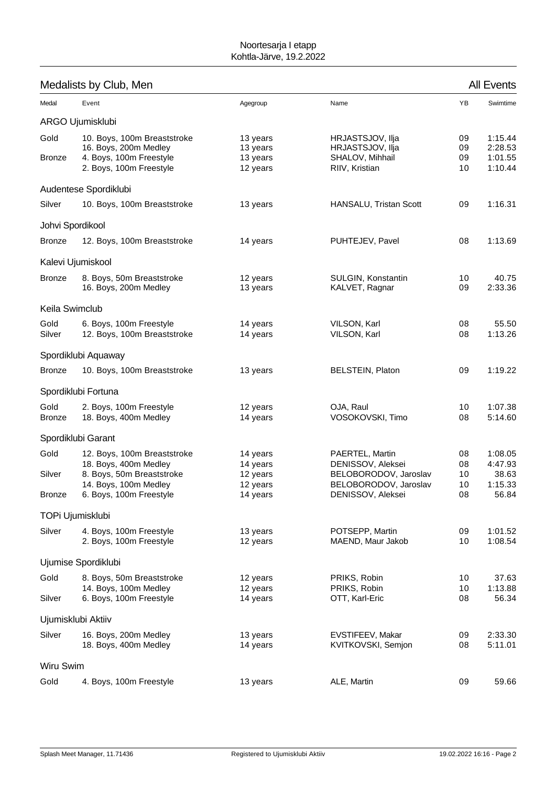## Noortesarja I etapp Kohtla-Järve, 19.2.2022

| Medalists by Club, Men  |                                                                                 |                                  |                                                                     |                | <b>All Events</b>             |  |  |
|-------------------------|---------------------------------------------------------------------------------|----------------------------------|---------------------------------------------------------------------|----------------|-------------------------------|--|--|
| Medal                   | Event                                                                           | Agegroup                         | Name                                                                | YB             | Swimtime                      |  |  |
| ARGO Ujumisklubi        |                                                                                 |                                  |                                                                     |                |                               |  |  |
| Gold<br><b>Bronze</b>   | 10. Boys, 100m Breaststroke<br>16. Boys, 200m Medley<br>4. Boys, 100m Freestyle | 13 years<br>13 years<br>13 years | HRJASTSJOV, Ilja<br>HRJASTSJOV, Ilja<br>SHALOV, Mihhail             | 09<br>09<br>09 | 1:15.44<br>2:28.53<br>1:01.55 |  |  |
|                         | 2. Boys, 100m Freestyle                                                         | 12 years                         | RIIV, Kristian                                                      | 10             | 1:10.44                       |  |  |
|                         | Audentese Spordiklubi                                                           |                                  |                                                                     |                |                               |  |  |
| Silver                  | 10. Boys, 100m Breaststroke                                                     | 13 years                         | HANSALU, Tristan Scott                                              | 09             | 1:16.31                       |  |  |
| Johvi Spordikool        |                                                                                 |                                  |                                                                     |                |                               |  |  |
| <b>Bronze</b>           | 12. Boys, 100m Breaststroke                                                     | 14 years                         | PUHTEJEV, Pavel                                                     | 08             | 1:13.69                       |  |  |
| Kalevi Ujumiskool       |                                                                                 |                                  |                                                                     |                |                               |  |  |
| <b>Bronze</b>           | 8. Boys, 50m Breaststroke<br>16. Boys, 200m Medley                              | 12 years<br>13 years             | SULGIN, Konstantin<br>KALVET, Ragnar                                | 10<br>09       | 40.75<br>2:33.36              |  |  |
| Keila Swimclub          |                                                                                 |                                  |                                                                     |                |                               |  |  |
| Gold<br>Silver          | 6. Boys, 100m Freestyle<br>12. Boys, 100m Breaststroke                          | 14 years<br>14 years             | VILSON, Karl<br>VILSON, Karl                                        | 08<br>08       | 55.50<br>1:13.26              |  |  |
|                         | Spordiklubi Aquaway                                                             |                                  |                                                                     |                |                               |  |  |
| <b>Bronze</b>           | 10. Boys, 100m Breaststroke                                                     | 13 years                         | <b>BELSTEIN, Platon</b>                                             | 09             | 1:19.22                       |  |  |
|                         | Spordiklubi Fortuna                                                             |                                  |                                                                     |                |                               |  |  |
| Gold<br><b>Bronze</b>   | 2. Boys, 100m Freestyle<br>18. Boys, 400m Medley                                | 12 years<br>14 years             | OJA, Raul<br>VOSOKOVSKI, Timo                                       | 10<br>08       | 1:07.38<br>5:14.60            |  |  |
|                         | Spordiklubi Garant                                                              |                                  |                                                                     |                |                               |  |  |
| Gold                    | 12. Boys, 100m Breaststroke<br>18. Boys, 400m Medley                            | 14 years<br>14 years             | PAERTEL, Martin<br>DENISSOV, Aleksei                                | 08<br>08       | 1:08.05<br>4:47.93            |  |  |
| Silver<br><b>Bronze</b> | 8. Boys, 50m Breaststroke<br>14. Boys, 100m Medley<br>6. Boys, 100m Freestyle   | 12 years<br>12 years<br>14 years | BELOBORODOV, Jaroslav<br>BELOBORODOV, Jaroslav<br>DENISSOV, Aleksei | 10<br>10<br>08 | 38.63<br>1:15.33<br>56.84     |  |  |
| TOPi Ujumisklubi        |                                                                                 |                                  |                                                                     |                |                               |  |  |
| Silver                  | 4. Boys, 100m Freestyle<br>2. Boys, 100m Freestyle                              | 13 years<br>12 years             | POTSEPP, Martin<br>MAEND, Maur Jakob                                | 09<br>10       | 1:01.52<br>1:08.54            |  |  |
|                         | Ujumise Spordiklubi                                                             |                                  |                                                                     |                |                               |  |  |
| Gold                    | 8. Boys, 50m Breaststroke                                                       | 12 years                         | PRIKS, Robin                                                        | 10             | 37.63                         |  |  |
| Silver                  | 14. Boys, 100m Medley<br>6. Boys, 100m Freestyle                                | 12 years<br>14 years             | PRIKS, Robin<br>OTT, Karl-Eric                                      | 10<br>08       | 1:13.88<br>56.34              |  |  |
| Ujumisklubi Aktiiv      |                                                                                 |                                  |                                                                     |                |                               |  |  |
| Silver                  | 16. Boys, 200m Medley<br>18. Boys, 400m Medley                                  | 13 years<br>14 years             | EVSTIFEEV, Makar<br>KVITKOVSKI, Semjon                              | 09<br>08       | 2:33.30<br>5:11.01            |  |  |
| Wiru Swim               |                                                                                 |                                  |                                                                     |                |                               |  |  |
| Gold                    | 4. Boys, 100m Freestyle                                                         | 13 years                         | ALE, Martin                                                         | 09             | 59.66                         |  |  |